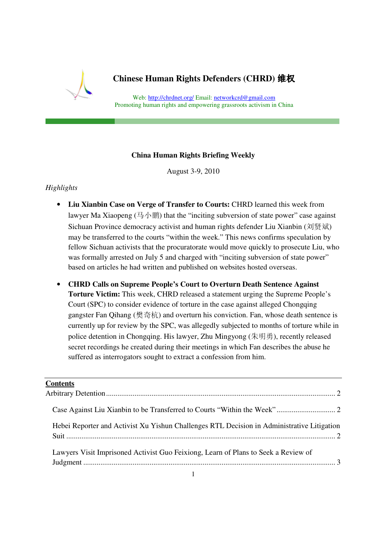

# **Chinese Human Rights Defenders (CHRD)** 维权

Web: http://chrdnet.org/ Email: networkcrd@gmail.com Promoting human rights and empowering grassroots activism in China

### **China Human Rights Briefing Weekly**

August 3-9, 2010

### *Highlights*

- **Liu Xianbin Case on Verge of Transfer to Courts:** CHRD learned this week from lawyer Ma Xiaopeng  $(\frac{\pi}{2}$   $\sqrt{\frac{m}{m}})$  that the "inciting subversion of state power" case against Sichuan Province democracy activist and human rights defender Liu Xianbin (刘贤斌) may be transferred to the courts "within the week." This news confirms speculation by fellow Sichuan activists that the procuratorate would move quickly to prosecute Liu, who was formally arrested on July 5 and charged with "inciting subversion of state power" based on articles he had written and published on websites hosted overseas.
- **CHRD Calls on Supreme People's Court to Overturn Death Sentence Against Torture Victim:** This week, CHRD released a statement urging the Supreme People's Court (SPC) to consider evidence of torture in the case against alleged Chongqing gangster Fan Qihang (樊奇杭) and overturn his conviction. Fan, whose death sentence is currently up for review by the SPC, was allegedly subjected to months of torture while in police detention in Chongqing. His lawyer, Zhu Mingyong (朱明勇), recently released secret recordings he created during their meetings in which Fan describes the abuse he suffered as interrogators sought to extract a confession from him.

### **Contents**

| Hebei Reporter and Activist Xu Yishun Challenges RTL Decision in Administrative Litigation |  |
|--------------------------------------------------------------------------------------------|--|
| Lawyers Visit Imprisoned Activist Guo Feixiong, Learn of Plans to Seek a Review of         |  |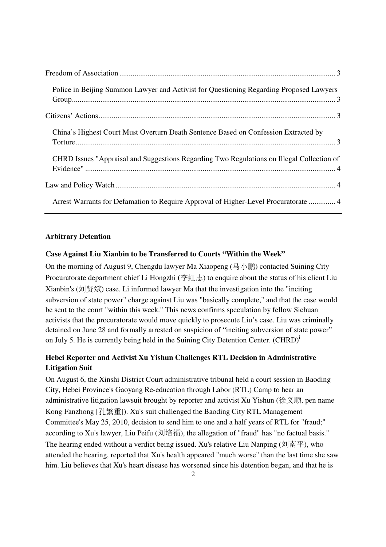| Police in Beijing Summon Lawyer and Activist for Questioning Regarding Proposed Lawyers   |  |
|-------------------------------------------------------------------------------------------|--|
|                                                                                           |  |
| China's Highest Court Must Overturn Death Sentence Based on Confession Extracted by       |  |
| CHRD Issues "Appraisal and Suggestions Regarding Two Regulations on Illegal Collection of |  |
|                                                                                           |  |
| Arrest Warrants for Defamation to Require Approval of Higher-Level Procuratorate  4       |  |

### **Arbitrary Detention**

### **Case Against Liu Xianbin to be Transferred to Courts "Within the Week"**

On the morning of August 9, Chengdu lawyer Ma Xiaopeng (马小鹏) contacted Suining City Procuratorate department chief Li Hongzhi (李虹志) to enquire about the status of his client Liu Xianbin's (刘贤斌) case. Li informed lawyer Ma that the investigation into the "inciting subversion of state power" charge against Liu was "basically complete," and that the case would be sent to the court "within this week." This news confirms speculation by fellow Sichuan activists that the procuratorate would move quickly to prosecute Liu's case. Liu was criminally detained on June 28 and formally arrested on suspicion of "inciting subversion of state power" on July 5. He is currently being held in the Suining City Detention Center. (CHRD)<sup>i</sup>

# **Hebei Reporter and Activist Xu Yishun Challenges RTL Decision in Administrative Litigation Suit**

On August 6, the Xinshi District Court administrative tribunal held a court session in Baoding City, Hebei Province's Gaoyang Re-education through Labor (RTL) Camp to hear an administrative litigation lawsuit brought by reporter and activist Xu Yishun (徐义顺, pen name Kong Fanzhong [孔繁重]). Xu's suit challenged the Baoding City RTL Management Committee's May 25, 2010, decision to send him to one and a half years of RTL for "fraud;" according to Xu's lawyer, Liu Peifu (刘培福), the allegation of "fraud" has "no factual basis." The hearing ended without a verdict being issued. Xu's relative Liu Nanping ( $\overrightarrow{\mathcal{A}}$ )  $\overrightarrow{H}$ ), who attended the hearing, reported that Xu's health appeared "much worse" than the last time she saw him. Liu believes that Xu's heart disease has worsened since his detention began, and that he is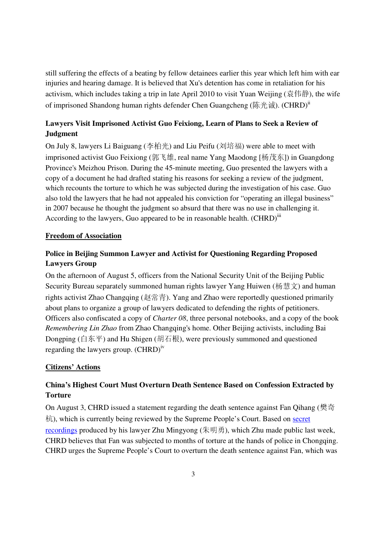still suffering the effects of a beating by fellow detainees earlier this year which left him with ear injuries and hearing damage. It is believed that Xu's detention has come in retaliation for his activism, which includes taking a trip in late April 2010 to visit Yuan Weijing (袁伟静), the wife of imprisoned Shandong human rights defender Chen Guangcheng (陈光诚). (CHRD)<sup>ii</sup>

# **Lawyers Visit Imprisoned Activist Guo Feixiong, Learn of Plans to Seek a Review of Judgment**

On July 8, lawyers Li Baiguang (李柏光) and Liu Peifu (刘培福) were able to meet with imprisoned activist Guo Feixiong (郭飞雄, real name Yang Maodong [杨茂东]) in Guangdong Province's Meizhou Prison. During the 45-minute meeting, Guo presented the lawyers with a copy of a document he had drafted stating his reasons for seeking a review of the judgment, which recounts the torture to which he was subjected during the investigation of his case. Guo also told the lawyers that he had not appealed his conviction for "operating an illegal business" in 2007 because he thought the judgment so absurd that there was no use in challenging it. According to the lawyers, Guo appeared to be in reasonable health.  $(CHRD)^{iii}$ 

### **Freedom of Association**

### **Police in Beijing Summon Lawyer and Activist for Questioning Regarding Proposed Lawyers Group**

On the afternoon of August 5, officers from the National Security Unit of the Beijing Public Security Bureau separately summoned human rights lawyer Yang Huiwen (杨慧文) and human rights activist Zhao Changqing (赵常青). Yang and Zhao were reportedly questioned primarily about plans to organize a group of lawyers dedicated to defending the rights of petitioners. Officers also confiscated a copy of *Charter 08*, three personal notebooks, and a copy of the book *Remembering Lin Zhao* from Zhao Changqing's home. Other Beijing activists, including Bai Dongping (白东平) and Hu Shigen (胡石根), were previously summoned and questioned regarding the lawyers group.  $(CHRD)^{iv}$ 

### **Citizens' Actions**

# **China's Highest Court Must Overturn Death Sentence Based on Confession Extracted by Torture**

On August 3, CHRD issued a statement regarding the death sentence against Fan Qihang (樊奇 杭), which is currently being reviewed by the Supreme People's Court. Based on secret recordings produced by his lawyer Zhu Mingyong (朱明勇), which Zhu made public last week, CHRD believes that Fan was subjected to months of torture at the hands of police in Chongqing. CHRD urges the Supreme People's Court to overturn the death sentence against Fan, which was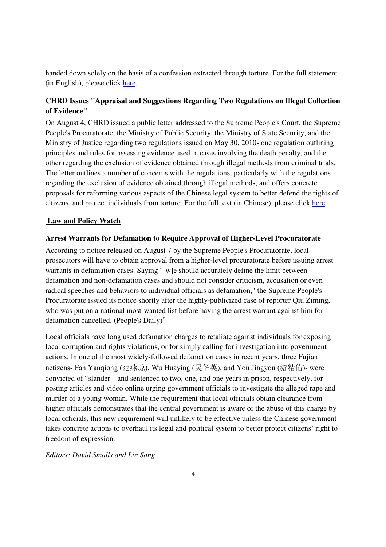handed down solely on the basis of a confession extracted through torture. For the full statement (in English), please click here.

# **CHRD Issues "Appraisal and Suggestions Regarding Two Regulations on Illegal Collection of Evidence"**

On August 4, CHRD issued a public letter addressed to the Supreme People's Court, the Supreme People's Procuratorate, the Ministry of Public Security, the Ministry of State Security, and the Ministry of Justice regarding two regulations issued on May 30, 2010- one regulation outlining principles and rules for assessing evidence used in cases involving the death penalty, and the other regarding the exclusion of evidence obtained through illegal methods from criminal trials. The letter outlines a number of concerns with the regulations, particularly with the regulations regarding the exclusion of evidence obtained through illegal methods, and offers concrete proposals for reforming various aspects of the Chinese legal system to better defend the rights of citizens, and protect individuals from torture. For the full text (in Chinese), please click here.

#### **Law and Policy Watch**

#### **Arrest Warrants for Defamation to Require Approval of Higher-Level Procuratorate**

According to notice released on August 7 by the Supreme People's Procuratorate, local prosecutors will have to obtain approval from a higher-level procuratorate before issuing arrest warrants in defamation cases. Saying "[w]e should accurately define the limit between defamation and non-defamation cases and should not consider criticism, accusation or even radical speeches and behaviors to individual officials as defamation," the Supreme People's Procuratorate issued its notice shortly after the highly-publicized case of reporter Qiu Ziming, who was put on a national most-wanted list before having the arrest warrant against him for defamation cancelled. (People's Daily)<sup>v</sup>

Local officials have long used defamation charges to retaliate against individuals for exposing local corruption and rights violations, or for simply calling for investigation into government actions. In one of the most widely-followed defamation cases in recent years, three Fujian netizens- Fan Yanqiong (范燕琼), Wu Huaying (吴华英), and You Jingyou (游精佑)- were convicted of "slander" and sentenced to two, one, and one years in prison, respectively, for posting articles and video online urging government officials to investigate the alleged rape and murder of a young woman. While the requirement that local officials obtain clearance from higher officials demonstrates that the central government is aware of the abuse of this charge by local officials, this new requirement will unlikely to be effective unless the Chinese government takes concrete actions to overhaul its legal and political system to better protect citizens' right to freedom of expression.

*Editors: David Smalls and Lin Sang*